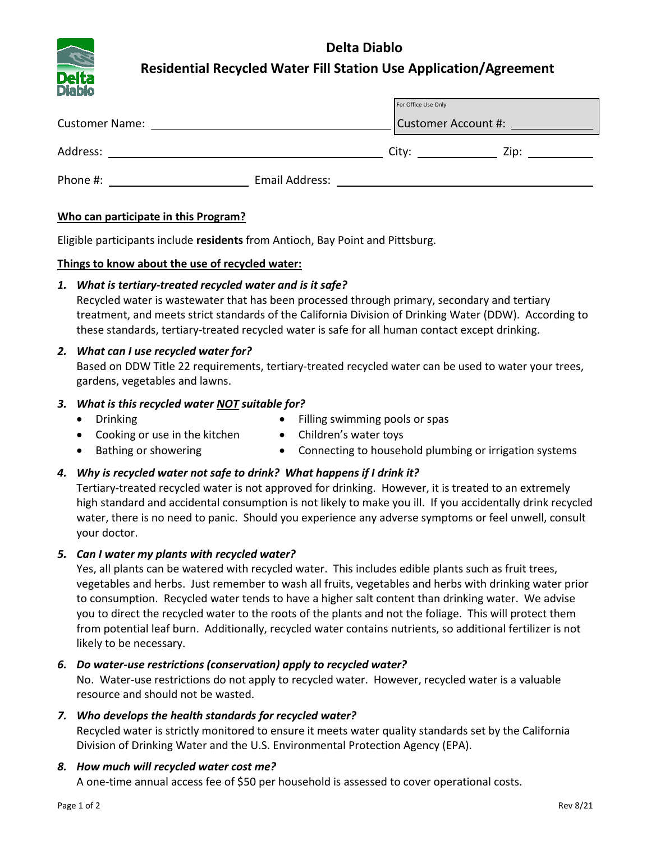# **Delta Diablo**



## **Residential Recycled Water Fill Station Use Application/Agreement**

| _____                 |                | For Office Use Only        |  |
|-----------------------|----------------|----------------------------|--|
| <b>Customer Name:</b> |                | <b>Customer Account #:</b> |  |
| Address:              |                | City:                      |  |
| Phone #:              | Email Address: |                            |  |

### **Who can participate in this Program?**

Eligible participants include **residents** from Antioch, Bay Point and Pittsburg.

#### **Things to know about the use of recycled water:**

### *1. What is tertiary-treated recycled water and is it safe?*

Recycled water is wastewater that has been processed through primary, secondary and tertiary treatment, and meets strict standards of the California Division of Drinking Water (DDW). According to these standards, tertiary-treated recycled water is safe for all human contact except drinking.

## *2. What can I use recycled water for?*

Based on DDW Title 22 requirements, tertiary-treated recycled water can be used to water your trees, gardens, vegetables and lawns.

### *3. What is this recycled water NOT suitable for?*

• Drinking

- Filling swimming pools or spas
- Cooking or use in the kitchen
- Children's water toys
- Bathing or showering
- Connecting to household plumbing or irrigation systems

## *4. Why is recycled water not safe to drink? What happens if I drink it?*

Tertiary-treated recycled water is not approved for drinking. However, it is treated to an extremely high standard and accidental consumption is not likely to make you ill. If you accidentally drink recycled water, there is no need to panic. Should you experience any adverse symptoms or feel unwell, consult your doctor.

## *5. Can I water my plants with recycled water?*

Yes, all plants can be watered with recycled water. This includes edible plants such as fruit trees, vegetables and herbs. Just remember to wash all fruits, vegetables and herbs with drinking water prior to consumption. Recycled water tends to have a higher salt content than drinking water. We advise you to direct the recycled water to the roots of the plants and not the foliage. This will protect them from potential leaf burn. Additionally, recycled water contains nutrients, so additional fertilizer is not likely to be necessary.

## *6. Do water-use restrictions (conservation) apply to recycled water?*

No. Water-use restrictions do not apply to recycled water. However, recycled water is a valuable resource and should not be wasted.

## *7. Who develops the health standards for recycled water?*

Recycled water is strictly monitored to ensure it meets water quality standards set by the California Division of Drinking Water and the U.S. Environmental Protection Agency (EPA).

## *8. How much will recycled water cost me?*

A one-time annual access fee of \$50 per household is assessed to cover operational costs.